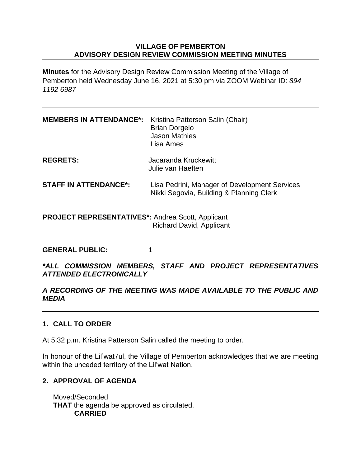### **VILLAGE OF PEMBERTON ADVISORY DESIGN REVIEW COMMISSION MEETING MINUTES**

**Minutes** for the Advisory Design Review Commission Meeting of the Village of Pemberton held Wednesday June 16, 2021 at 5:30 pm via ZOOM Webinar ID: *894 1192 6987*

| <b>MEMBERS IN ATTENDANCE*:</b>                             | Kristina Patterson Salin (Chair)<br><b>Brian Dorgelo</b><br><b>Jason Mathies</b><br>Lisa Ames |
|------------------------------------------------------------|-----------------------------------------------------------------------------------------------|
| <b>REGRETS:</b>                                            | Jacaranda Kruckewitt<br>Julie van Haeften                                                     |
| <b>STAFF IN ATTENDANCE*:</b>                               | Lisa Pedrini, Manager of Development Services<br>Nikki Segovia, Building & Planning Clerk     |
| <b>DDO IECT DEDDESENTATIVES</b> *: Andros Scott, Annlicant |                                                                                               |

**PROJECT REPRESENTATIVES\*:** Andrea Scott, Applicant Richard David, Applicant

GENERAL PUBLIC: 1

*\*ALL COMMISSION MEMBERS, STAFF AND PROJECT REPRESENTATIVES ATTENDED ELECTRONICALLY*

## *A RECORDING OF THE MEETING WAS MADE AVAILABLE TO THE PUBLIC AND MEDIA*

# **1. CALL TO ORDER**

At 5:32 p.m. Kristina Patterson Salin called the meeting to order.

In honour of the Lil'wat7ul, the Village of Pemberton acknowledges that we are meeting within the unceded territory of the Lil'wat Nation.

# **2. APPROVAL OF AGENDA**

Moved/Seconded **THAT** the agenda be approved as circulated. **CARRIED**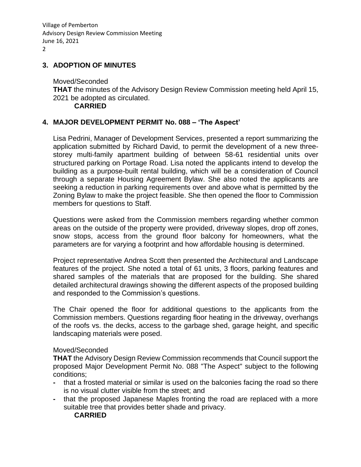Village of Pemberton Advisory Design Review Commission Meeting June 16, 2021 2

### **3. ADOPTION OF MINUTES**

Moved/Seconded **THAT** the minutes of the Advisory Design Review Commission meeting held April 15, 2021 be adopted as circulated. **CARRIED**

### **4. MAJOR DEVELOPMENT PERMIT No. 088 – 'The Aspect'**

Lisa Pedrini, Manager of Development Services, presented a report summarizing the application submitted by Richard David, to permit the development of a new threestorey multi-family apartment building of between 58-61 residential units over structured parking on Portage Road. Lisa noted the applicants intend to develop the building as a purpose-built rental building, which will be a consideration of Council through a separate Housing Agreement Bylaw. She also noted the applicants are seeking a reduction in parking requirements over and above what is permitted by the Zoning Bylaw to make the project feasible. She then opened the floor to Commission members for questions to Staff.

Questions were asked from the Commission members regarding whether common areas on the outside of the property were provided, driveway slopes, drop off zones, snow stops, access from the ground floor balcony for homeowners, what the parameters are for varying a footprint and how affordable housing is determined.

Project representative Andrea Scott then presented the Architectural and Landscape features of the project. She noted a total of 61 units, 3 floors, parking features and shared samples of the materials that are proposed for the building. She shared detailed architectural drawings showing the different aspects of the proposed building and responded to the Commission's questions.

The Chair opened the floor for additional questions to the applicants from the Commission members. Questions regarding floor heating in the driveway, overhangs of the roofs vs. the decks, access to the garbage shed, garage height, and specific landscaping materials were posed.

#### Moved/Seconded

**THAT** the Advisory Design Review Commission recommends that Council support the proposed Major Development Permit No. 088 "The Aspect" subject to the following conditions;

- **-** that a frosted material or similar is used on the balconies facing the road so there is no visual clutter visible from the street; and
- **-** that the proposed Japanese Maples fronting the road are replaced with a more suitable tree that provides better shade and privacy.

#### **CARRIED**